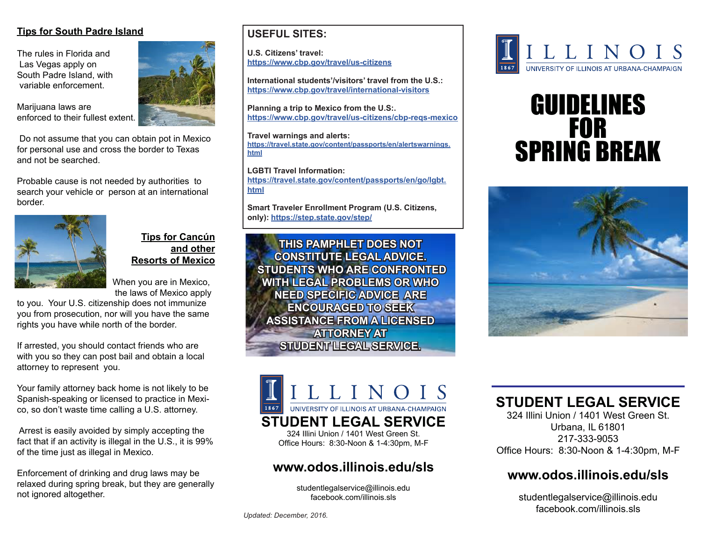#### **Tips for South Padre Island**

The rules in Florida and Las Vegas apply on South Padre Island, with variable enforcement.

Marijuana laws are enforced to their fullest extent.

 Do not assume that you can obtain pot in Mexico for personal use and cross the border to Texas and not be searched.

Probable cause is not needed by authorities to search your vehicle or person at an international border.



#### **Tips for Cancún and other Resorts of Mexico**

 When you are in Mexico, the laws of Mexico apply

to you. Your U.S. citizenship does not immunize you from prosecution, nor will you have the same rights you have while north of the border.

If arrested, you should contact friends who are with you so they can post bail and obtain a local attorney to represent you.

Your family attorney back home is not likely to be Spanish-speaking or licensed to practice in Mexico, so don't waste time calling a U.S. attorney.

 Arrest is easily avoided by simply accepting the fact that if an activity is illegal in the U.S., it is 99% of the time just as illegal in Mexico.

Enforcement of drinking and drug laws may be relaxed during spring break, but they are generally not ignored altogether.



#### **USEFUL SITES:**

**U.S. Citizens' travel: https://www.cbp.gov/travel/us-citizens**

**International students'/visitors' travel from the U.S.: https://www.cbp.gov/travel/international-visitors**

**Planning a trip to Mexico from the U.S:. https://www.cbp.gov/travel/us-citizens/cbp-reqs-mexico**

**Travel warnings and alerts: https://travel.state.gov/content/passports/en/alertswarnings. html**

**LGBTI Travel Information: https://travel.state.gov/content/passports/en/go/lgbt. html**

**Smart Traveler Enrollment Program (U.S. Citizens, only): https://step.state.gov/step/**

**THIS PAMPHLET DOES NOT CONSTITUTE LEGAL ADVICE. STUDENTS WHO ARE CONFRONTED WITH LEGAL PROBLEMS OR WHO NEED SPECIFIC ADVICE ARE ENCOURAGED TO SEEK ASSISTANCE FROM A LICENSED ATTORNEY AT STUDENT LEGAL SERVICE.**



# GUIDELINES FOR SPRING BREAK



# LLINOI UNIVERSITY OF ILLINOIS AT URBANA-CHAMPAIGN **STUDENT LEGAL SERVICE**

324 Illini Union / 1401 West Green St. Office Hours: 8:30-Noon & 1-4:30pm, M-F

### **www.odos.illinois.edu/sls**

studentlegalservice@illinois.edu facebook.com/illinois.sls

# **STUDENT LEGAL SERVICE**

324 Illini Union / 1401 West Green St. Urbana, IL 61801 217-333-9053 Office Hours: 8:30-Noon & 1-4:30pm, M-F

## **www.odos.illinois.edu/sls**

studentlegalservice@illinois.edu facebook.com/illinois.sls

*Updated: December, 2016.*